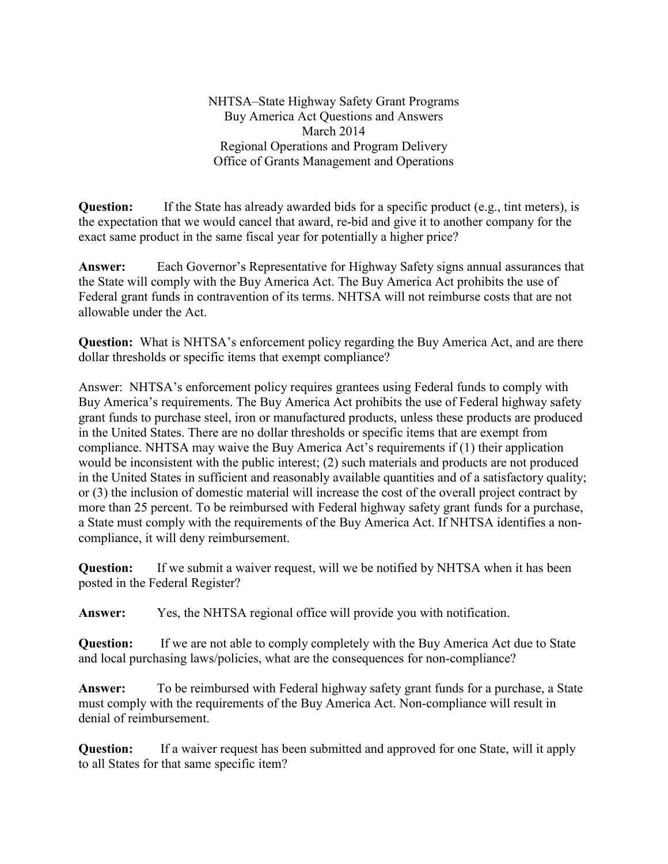NHTSA–State Highway Safety Grant Programs Buy America Act Questions and Answers March 2014 Regional Operations and Program Delivery Office of Grants Management and Operations

**Question:** If the State has already awarded bids for a specific product (e.g., tint meters), is the expectation that we would cancel that award, re-bid and give it to another company for the exact same product in the same fiscal year for potentially a higher price?

**Answer:** Each Governor's Representative for Highway Safety signs annual assurances that the State will comply with the Buy America Act. The Buy America Act prohibits the use of Federal grant funds in contravention of its terms. NHTSA will not reimburse costs that are not allowable under the Act.

**Question:** What is NHTSA's enforcement policy regarding the Buy America Act, and are there dollar thresholds or specific items that exempt compliance?

Answer: NHTSA's enforcement policy requires grantees using Federal funds to comply with Buy America's requirements. The Buy America Act prohibits the use of Federal highway safety grant funds to purchase steel, iron or manufactured products, unless these products are produced in the United States. There are no dollar thresholds or specific items that are exempt from compliance. NHTSA may waive the Buy America Act's requirements if (1) their application would be inconsistent with the public interest; (2) such materials and products are not produced in the United States in sufficient and reasonably available quantities and of a satisfactory quality; or (3) the inclusion of domestic material will increase the cost of the overall project contract by more than 25 percent. To be reimbursed with Federal highway safety grant funds for a purchase, a State must comply with the requirements of the Buy America Act. If NHTSA identifies a noncompliance, it will deny reimbursement.

**Question:** If we submit a waiver request, will we be notified by NHTSA when it has been posted in the Federal Register?

**Answer:** Yes, the NHTSA regional office will provide you with notification.

**Question:** If we are not able to comply completely with the Buy America Act due to State and local purchasing laws/policies, what are the consequences for non-compliance?

**Answer:** To be reimbursed with Federal highway safety grant funds for a purchase, a State must comply with the requirements of the Buy America Act. Non-compliance will result in denial of reimbursement.

**Question:** If a waiver request has been submitted and approved for one State, will it apply to all States for that same specific item?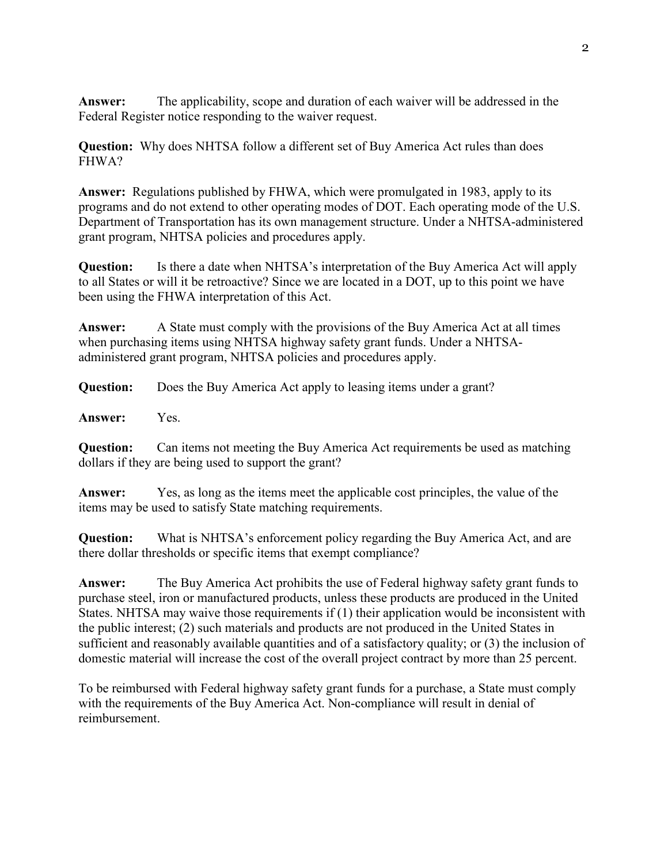**Answer:** The applicability, scope and duration of each waiver will be addressed in the Federal Register notice responding to the waiver request.

**Question:** Why does NHTSA follow a different set of Buy America Act rules than does FHWA?

**Answer:** Regulations published by FHWA, which were promulgated in 1983, apply to its programs and do not extend to other operating modes of DOT. Each operating mode of the U.S. Department of Transportation has its own management structure. Under a NHTSA-administered grant program, NHTSA policies and procedures apply.

**Question:** Is there a date when NHTSA's interpretation of the Buy America Act will apply to all States or will it be retroactive? Since we are located in a DOT, up to this point we have been using the FHWA interpretation of this Act.

**Answer:** A State must comply with the provisions of the Buy America Act at all times when purchasing items using NHTSA highway safety grant funds. Under a NHTSAadministered grant program, NHTSA policies and procedures apply.

**Question:** Does the Buy America Act apply to leasing items under a grant?

**Answer:** Yes.

**Question:** Can items not meeting the Buy America Act requirements be used as matching dollars if they are being used to support the grant?

**Answer:** Yes, as long as the items meet the applicable cost principles, the value of the items may be used to satisfy State matching requirements.

**Question:** What is NHTSA's enforcement policy regarding the Buy America Act, and are there dollar thresholds or specific items that exempt compliance?

**Answer:** The Buy America Act prohibits the use of Federal highway safety grant funds to purchase steel, iron or manufactured products, unless these products are produced in the United States. NHTSA may waive those requirements if (1) their application would be inconsistent with the public interest; (2) such materials and products are not produced in the United States in sufficient and reasonably available quantities and of a satisfactory quality; or (3) the inclusion of domestic material will increase the cost of the overall project contract by more than 25 percent.

To be reimbursed with Federal highway safety grant funds for a purchase, a State must comply with the requirements of the Buy America Act. Non-compliance will result in denial of reimbursement.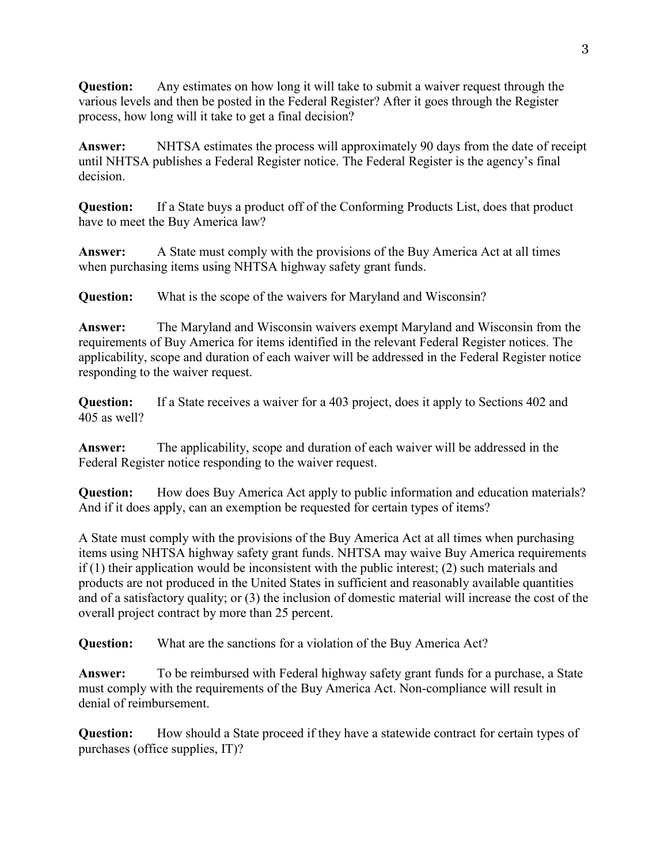**Question:** Any estimates on how long it will take to submit a waiver request through the various levels and then be posted in the Federal Register? After it goes through the Register process, how long will it take to get a final decision?

**Answer:** NHTSA estimates the process will approximately 90 days from the date of receipt until NHTSA publishes a Federal Register notice. The Federal Register is the agency's final decision.

**Question:** If a State buys a product off of the Conforming Products List, does that product have to meet the Buy America law?

**Answer:** A State must comply with the provisions of the Buy America Act at all times when purchasing items using NHTSA highway safety grant funds.

**Question:** What is the scope of the waivers for Maryland and Wisconsin?

**Answer:** The Maryland and Wisconsin waivers exempt Maryland and Wisconsin from the requirements of Buy America for items identified in the relevant Federal Register notices. The applicability, scope and duration of each waiver will be addressed in the Federal Register notice responding to the waiver request.

**Question:** If a State receives a waiver for a 403 project, does it apply to Sections 402 and 405 as well?

**Answer:** The applicability, scope and duration of each waiver will be addressed in the Federal Register notice responding to the waiver request.

**Question:** How does Buy America Act apply to public information and education materials? And if it does apply, can an exemption be requested for certain types of items?

A State must comply with the provisions of the Buy America Act at all times when purchasing items using NHTSA highway safety grant funds. NHTSA may waive Buy America requirements if (1) their application would be inconsistent with the public interest; (2) such materials and products are not produced in the United States in sufficient and reasonably available quantities and of a satisfactory quality; or (3) the inclusion of domestic material will increase the cost of the overall project contract by more than 25 percent.

**Question:** What are the sanctions for a violation of the Buy America Act?

**Answer:** To be reimbursed with Federal highway safety grant funds for a purchase, a State must comply with the requirements of the Buy America Act. Non-compliance will result in denial of reimbursement.

**Question:** How should a State proceed if they have a statewide contract for certain types of purchases (office supplies, IT)?